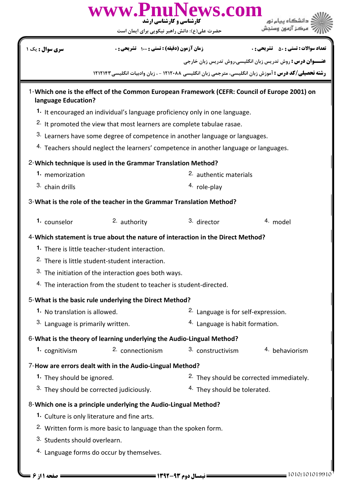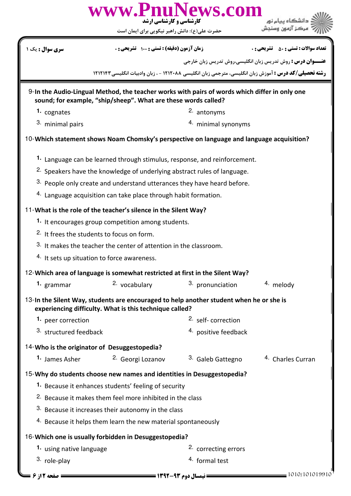|                                                                        | www.PnuNews.com<br><b>کارشناسی و کارشناسی ارشد</b><br>حضرت علی(ع): دانش راهبر نیکویی برای ایمان است                                                             |                                 |                                                                   |  |
|------------------------------------------------------------------------|-----------------------------------------------------------------------------------------------------------------------------------------------------------------|---------------------------------|-------------------------------------------------------------------|--|
|                                                                        | زمان آزمون (دقیقه) : تستی : ۱۰۰٪ تشریحی : ۰                                                                                                                     |                                 |                                                                   |  |
| <b>سری سوال :</b> یک ۱                                                 |                                                                                                                                                                 |                                 | <b>تعداد سوالات : تستي : 50 ٪ تشريحي : 0</b>                      |  |
|                                                                        | <b>رشته تحصیلی/کد درس :</b> آموزش زبان انگلیسی، مترجمی زبان انگلیسی ۱۲۱۲۰۸۸ - ، زبان وادبیات انگلیسی ۱۲۱۲۱۴۲                                                    |                                 | <b>عنـــوان درس :</b> روش تدریس زبان انگلیسی،روش تدریس زبان خارجی |  |
|                                                                        |                                                                                                                                                                 |                                 |                                                                   |  |
|                                                                        | 9-In the Audio-Lingual Method, the teacher works with pairs of words which differ in only one<br>sound; for example, "ship/sheep". What are these words called? |                                 |                                                                   |  |
| 1. cognates                                                            |                                                                                                                                                                 | 2. antonyms                     |                                                                   |  |
| 3. minimal pairs                                                       |                                                                                                                                                                 | 4. minimal synonyms             |                                                                   |  |
|                                                                        | 10-Which statement shows Noam Chomsky's perspective on language and language acquisition?                                                                       |                                 |                                                                   |  |
|                                                                        | 1. Language can be learned through stimulus, response, and reinforcement.                                                                                       |                                 |                                                                   |  |
|                                                                        | <sup>2.</sup> Speakers have the knowledge of underlying abstract rules of language.                                                                             |                                 |                                                                   |  |
|                                                                        | 3. People only create and understand utterances they have heard before.                                                                                         |                                 |                                                                   |  |
|                                                                        | 4. Language acquisition can take place through habit formation.                                                                                                 |                                 |                                                                   |  |
|                                                                        | 11-What is the role of the teacher's silence in the Silent Way?                                                                                                 |                                 |                                                                   |  |
|                                                                        | 1. It encourages group competition among students.                                                                                                              |                                 |                                                                   |  |
|                                                                        | <sup>2.</sup> It frees the students to focus on form.                                                                                                           |                                 |                                                                   |  |
|                                                                        | 3. It makes the teacher the center of attention in the classroom.                                                                                               |                                 |                                                                   |  |
| 4. It sets up situation to force awareness.                            |                                                                                                                                                                 |                                 |                                                                   |  |
|                                                                        | 12-Which area of language is somewhat restricted at first in the Silent Way?                                                                                    |                                 |                                                                   |  |
| 1. grammar                                                             | 2. vocabulary                                                                                                                                                   | 3. pronunciation                | 4. melody                                                         |  |
|                                                                        | 13-In the Silent Way, students are encouraged to help another student when he or she is<br>experiencing difficulty. What is this technique called?              |                                 |                                                                   |  |
| 1. peer correction                                                     |                                                                                                                                                                 | <sup>2.</sup> self-correction   |                                                                   |  |
| 3. structured feedback                                                 |                                                                                                                                                                 | 4. positive feedback            |                                                                   |  |
| 14-Who is the originator of Desuggestopedia?                           |                                                                                                                                                                 |                                 |                                                                   |  |
|                                                                        | 1. James Asher <sup>2.</sup> Georgi Lozanov                                                                                                                     | <sup>3.</sup> Galeb Gattegno    | <sup>4.</sup> Charles Curran                                      |  |
| 15-Why do students choose new names and identities in Desuggestopedia? |                                                                                                                                                                 |                                 |                                                                   |  |
|                                                                        | 1. Because it enhances students' feeling of security                                                                                                            |                                 |                                                                   |  |
| <sup>2.</sup> Because it makes them feel more inhibited in the class   |                                                                                                                                                                 |                                 |                                                                   |  |
|                                                                        | 3. Because it increases their autonomy in the class                                                                                                             |                                 |                                                                   |  |
|                                                                        | 4. Because it helps them learn the new material spontaneously                                                                                                   |                                 |                                                                   |  |
|                                                                        | 16-Which one is usually forbidden in Desuggestopedia?                                                                                                           |                                 |                                                                   |  |
| 1. using native language                                               |                                                                                                                                                                 | <sup>2.</sup> correcting errors |                                                                   |  |
| 3. role-play                                                           |                                                                                                                                                                 | 4. formal test                  |                                                                   |  |

1010/101019910 -93 1392 نيمسال دوم 2 از 6 صفحه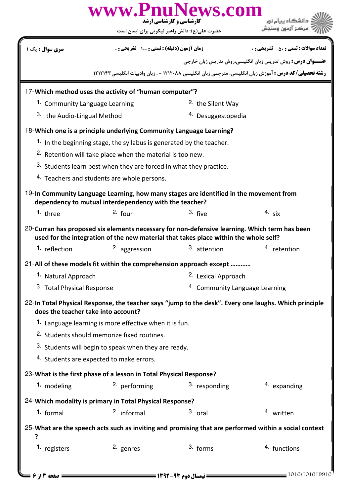|                                                                                                                                                                                       |                                                                                | www.PnuNews.com<br>کارشناسی و کارشناسی ارشد<br>حضرت علی(ع): دانش راهبر نیکویی برای ایمان است          |                                                                                                             |  |
|---------------------------------------------------------------------------------------------------------------------------------------------------------------------------------------|--------------------------------------------------------------------------------|-------------------------------------------------------------------------------------------------------|-------------------------------------------------------------------------------------------------------------|--|
| <mark>سری سوال :</mark> یک ۱                                                                                                                                                          | زمان آزمون (دقيقه) : تستى : 100 تشريحي : 0                                     |                                                                                                       | <b>تعداد سوالات : تستی : 50 ٪ تشریحی : 0</b>                                                                |  |
|                                                                                                                                                                                       |                                                                                |                                                                                                       | <b>عنـــوان درس :</b> روش تدریس زبان انگلیسی،روش تدریس زبان خارجی                                           |  |
|                                                                                                                                                                                       |                                                                                |                                                                                                       | <b>رشته تحصیلی/کد درس :</b> آموزش زبان انگلیسی، مترجمی زبان انگلیسی ۱۲۱۲۰۸۸ - ، زبان وادبیات انگلیسیT۱۱۲۱۴۲ |  |
| 17-Which method uses the activity of "human computer"?                                                                                                                                |                                                                                |                                                                                                       |                                                                                                             |  |
| 1. Community Language Learning                                                                                                                                                        |                                                                                | <sup>2.</sup> the Silent Way                                                                          |                                                                                                             |  |
| 3. the Audio-Lingual Method                                                                                                                                                           |                                                                                | <sup>4.</sup> Desuggestopedia                                                                         |                                                                                                             |  |
| 18-Which one is a principle underlying Community Language Learning?                                                                                                                   |                                                                                |                                                                                                       |                                                                                                             |  |
|                                                                                                                                                                                       | <sup>1</sup> In the beginning stage, the syllabus is generated by the teacher. |                                                                                                       |                                                                                                             |  |
|                                                                                                                                                                                       | <sup>2.</sup> Retention will take place when the material is too new.          |                                                                                                       |                                                                                                             |  |
|                                                                                                                                                                                       | 3. Students learn best when they are forced in what they practice.             |                                                                                                       |                                                                                                             |  |
|                                                                                                                                                                                       | <sup>4.</sup> Teachers and students are whole persons.                         |                                                                                                       |                                                                                                             |  |
| 19-In Community Language Learning, how many stages are identified in the movement from<br>dependency to mutual interdependency with the teacher?                                      |                                                                                |                                                                                                       |                                                                                                             |  |
| 1. three                                                                                                                                                                              | $2.$ four                                                                      | $3.$ five                                                                                             | $4.$ six                                                                                                    |  |
| 20-Curran has proposed six elements necessary for non-defensive learning. Which term has been<br>used for the integration of the new material that takes place within the whole self? |                                                                                |                                                                                                       |                                                                                                             |  |
| 1. reflection                                                                                                                                                                         | 2. aggression                                                                  | <sup>3.</sup> attention                                                                               | 4. retention                                                                                                |  |
|                                                                                                                                                                                       |                                                                                | 21-All of these models fit within the comprehension approach except                                   |                                                                                                             |  |
| 1. Natural Approach                                                                                                                                                                   |                                                                                | <sup>2.</sup> Lexical Approach                                                                        |                                                                                                             |  |
| 3. Total Physical Response                                                                                                                                                            |                                                                                |                                                                                                       | 4. Community Language Learning                                                                              |  |
| does the teacher take into account?                                                                                                                                                   |                                                                                | 22-In Total Physical Response, the teacher says "jump to the desk". Every one laughs. Which principle |                                                                                                             |  |
|                                                                                                                                                                                       | 1. Language learning is more effective when it is fun.                         |                                                                                                       |                                                                                                             |  |
|                                                                                                                                                                                       | <sup>2.</sup> Students should memorize fixed routines.                         |                                                                                                       |                                                                                                             |  |
|                                                                                                                                                                                       | 3. Students will begin to speak when they are ready.                           |                                                                                                       |                                                                                                             |  |
| 4. Students are expected to make errors.                                                                                                                                              |                                                                                |                                                                                                       |                                                                                                             |  |
| 23-What is the first phase of a lesson in Total Physical Response?                                                                                                                    |                                                                                |                                                                                                       |                                                                                                             |  |
| 1. modeling                                                                                                                                                                           | <sup>2.</sup> performing                                                       | 3. responding                                                                                         | 4. expanding                                                                                                |  |
| 24-Which modality is primary in Total Physical Response?                                                                                                                              |                                                                                |                                                                                                       |                                                                                                             |  |
| 1. formal                                                                                                                                                                             | <sup>2.</sup> informal                                                         | $3.$ oral                                                                                             | <sup>4.</sup> written                                                                                       |  |
| ?                                                                                                                                                                                     |                                                                                |                                                                                                       | 25-What are the speech acts such as inviting and promising that are performed within a social context       |  |
| 1. registers                                                                                                                                                                          | 2. genres                                                                      | 3. forms                                                                                              | 4. functions                                                                                                |  |
| $\blacktriangleright$ صفحه ۱۳ از ۶                                                                                                                                                    |                                                                                |                                                                                                       | $= 1010/101019910$                                                                                          |  |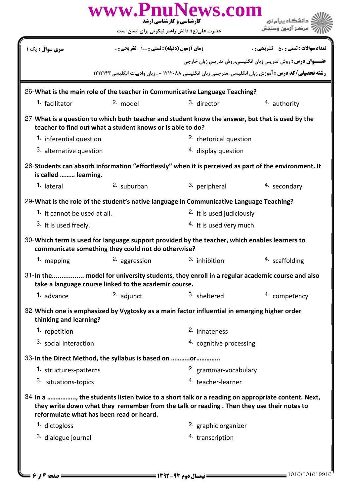|                                                      | حضرت علی(ع): دانش راهبر نیکویی برای ایمان است              | www.PnuNews.com<br><b>کارشناسی و کارشناسی ارشد</b>                                                                                                                                          |                                                                                                              |
|------------------------------------------------------|------------------------------------------------------------|---------------------------------------------------------------------------------------------------------------------------------------------------------------------------------------------|--------------------------------------------------------------------------------------------------------------|
| <b>سری سوال :</b> یک ۱                               | <b>زمان آزمون (دقیقه) : تستی : ۱۰۰ تشریحی : 0</b>          |                                                                                                                                                                                             | <b>تعداد سوالات : تستي : 50 ٪ تشريحي : 0</b>                                                                 |
|                                                      |                                                            |                                                                                                                                                                                             | <b>عنـــوان درس :</b> روش تدریس زبان انگلیسی،روش تدریس زبان خارجی                                            |
|                                                      |                                                            |                                                                                                                                                                                             | <b>رشته تحصیلی/کد درس :</b> آموزش زبان انگلیسی، مترجمی زبان انگلیسی ۱۲۱۲۰۸۸ - ، زبان وادبیات انگلیسی ۱۲۱۲۱۴۲ |
|                                                      |                                                            | 26-What is the main role of the teacher in Communicative Language Teaching?                                                                                                                 |                                                                                                              |
| <sup>1</sup> facilitator                             | 2. model                                                   | 3. director                                                                                                                                                                                 | 4. authority                                                                                                 |
|                                                      | teacher to find out what a student knows or is able to do? | 27-What is a question to which both teacher and student know the answer, but that is used by the                                                                                            |                                                                                                              |
| 1. inferential question                              |                                                            | <sup>2.</sup> rhetorical question                                                                                                                                                           |                                                                                                              |
| 3. alternative question                              |                                                            | <sup>4.</sup> display question                                                                                                                                                              |                                                                                                              |
| is called  learning.                                 |                                                            | 28-Students can absorb information "effortlessly" when it is perceived as part of the environment. It                                                                                       |                                                                                                              |
| 1. lateral                                           | $2.$ suburban                                              | 3. peripheral                                                                                                                                                                               | 4. secondary                                                                                                 |
|                                                      |                                                            | 29-What is the role of the student's native language in Communicative Language Teaching?                                                                                                    |                                                                                                              |
| 1. It cannot be used at all.                         |                                                            | <sup>2.</sup> It is used judiciously                                                                                                                                                        |                                                                                                              |
| 3. It is used freely.                                |                                                            | <sup>4.</sup> It is used very much.                                                                                                                                                         |                                                                                                              |
|                                                      | communicate something they could not do otherwise?         | 30-Which term is used for language support provided by the teacher, which enables learners to                                                                                               |                                                                                                              |
| 1. mapping                                           | 2. aggression                                              | 3. inhibition                                                                                                                                                                               | 4. scaffolding                                                                                               |
|                                                      | take a language course linked to the academic course.      | 31-In the     model for university students, they enroll in a regular academic course and also                                                                                              |                                                                                                              |
| 1. advance                                           | 2. adjunct                                                 | 3. sheltered                                                                                                                                                                                | 4. competency                                                                                                |
| thinking and learning?                               |                                                            | 32-Which one is emphasized by Vygtosky as a main factor influential in emerging higher order                                                                                                |                                                                                                              |
| 1. repetition                                        |                                                            | 2. innateness                                                                                                                                                                               |                                                                                                              |
| <sup>3.</sup> social interaction                     |                                                            | 4. cognitive processing                                                                                                                                                                     |                                                                                                              |
| 33-In the Direct Method, the syllabus is based on or |                                                            |                                                                                                                                                                                             |                                                                                                              |
| 1. structures-patterns                               |                                                            | 2. grammar-vocabulary                                                                                                                                                                       |                                                                                                              |
| 3. situations-topics                                 |                                                            | 4. teacher-learner                                                                                                                                                                          |                                                                                                              |
| reformulate what has been read or heard.             |                                                            | 34-In a , the students listen twice to a short talk or a reading on appropriate content. Next,<br>they write down what they remember from the talk or reading. Then they use their notes to |                                                                                                              |
| 1. dictogloss                                        |                                                            | 2. graphic organizer                                                                                                                                                                        |                                                                                                              |
| 3. dialogue journal                                  |                                                            | 4. transcription                                                                                                                                                                            |                                                                                                              |
| <b>صفحه ۱۴; ۶</b> =                                  |                                                            | <b>== نیمسال دوم ۹۳-۱۳۹۲ =========</b>                                                                                                                                                      | = 1010/101019910                                                                                             |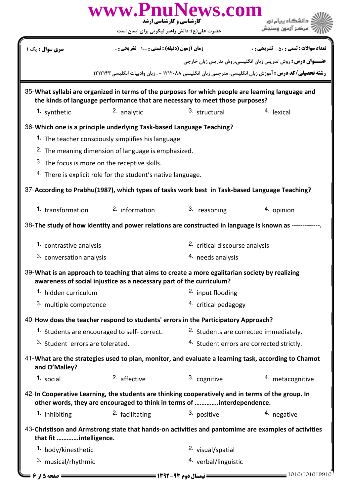|                                                                                                                                                                                   | www.PnuNews.com<br><mark>کار شناسی و کارشناسی ارشد</mark>                                                                                                                   |                                           |                                                                                                      |  |
|-----------------------------------------------------------------------------------------------------------------------------------------------------------------------------------|-----------------------------------------------------------------------------------------------------------------------------------------------------------------------------|-------------------------------------------|------------------------------------------------------------------------------------------------------|--|
|                                                                                                                                                                                   | حضرت علی(ع): دانش راهبر نیکویی برای ایمان است                                                                                                                               |                                           |                                                                                                      |  |
| <b>سری سوال :</b> یک ۱                                                                                                                                                            | زمان آزمون (دقیقه) : تستی : ۱۰۰٪ تشریحی : ۰                                                                                                                                 |                                           | <b>تعداد سوالات : تستی : 50 ٪ تشریحی : 0</b>                                                         |  |
|                                                                                                                                                                                   |                                                                                                                                                                             |                                           | <b>عنـــوان درس :</b> روش تدریس زبان انگلیسی،روش تدریس زبان خارجی                                    |  |
|                                                                                                                                                                                   |                                                                                                                                                                             |                                           | رشته تحصیلی/کد درس : آموزش زبان انگلیسی، مترجمی زبان انگلیسی ۱۲۱۲۰۸۸ - ، زبان وادبیات انگلیسی۱۲۱۲۱۴۳ |  |
| 35-What syllabi are organized in terms of the purposes for which people are learning language and<br>the kinds of language performance that are necessary to meet those purposes? |                                                                                                                                                                             |                                           |                                                                                                      |  |
| 1. synthetic                                                                                                                                                                      | <sup>2.</sup> analytic                                                                                                                                                      | 3. structural                             | 4. lexical                                                                                           |  |
|                                                                                                                                                                                   | 36-Which one is a principle underlying Task-based Language Teaching?                                                                                                        |                                           |                                                                                                      |  |
|                                                                                                                                                                                   | <sup>1</sup> . The teacher consciously simplifies his language                                                                                                              |                                           |                                                                                                      |  |
|                                                                                                                                                                                   | <sup>2.</sup> The meaning dimension of language is emphasized.                                                                                                              |                                           |                                                                                                      |  |
|                                                                                                                                                                                   | 3. The focus is more on the receptive skills.                                                                                                                               |                                           |                                                                                                      |  |
|                                                                                                                                                                                   | 4. There is explicit role for the student's native language.                                                                                                                |                                           |                                                                                                      |  |
| 37-According to Prabhu(1987), which types of tasks work best in Task-based Language Teaching?                                                                                     |                                                                                                                                                                             |                                           |                                                                                                      |  |
| 1. transformation                                                                                                                                                                 | $2.$ information                                                                                                                                                            | 3. reasoning                              | 4. opinion                                                                                           |  |
|                                                                                                                                                                                   | 38-The study of how identity and power relations are constructed in language is known as ----------                                                                         |                                           |                                                                                                      |  |
| 1. contrastive analysis                                                                                                                                                           |                                                                                                                                                                             | <sup>2.</sup> critical discourse analysis |                                                                                                      |  |
| 3. conversation analysis                                                                                                                                                          |                                                                                                                                                                             | <sup>4.</sup> needs analysis              |                                                                                                      |  |
| 39-What is an approach to teaching that aims to create a more egalitarian society by realizing                                                                                    |                                                                                                                                                                             |                                           |                                                                                                      |  |
|                                                                                                                                                                                   | awareness of social injustice as a necessary part of the curriculum?                                                                                                        |                                           |                                                                                                      |  |
| 1. hidden curriculum                                                                                                                                                              |                                                                                                                                                                             | <sup>2.</sup> input flooding              |                                                                                                      |  |
|                                                                                                                                                                                   | 3. multiple competence                                                                                                                                                      |                                           | 4. critical pedagogy                                                                                 |  |
|                                                                                                                                                                                   | 40-How does the teacher respond to students' errors in the Participatory Approach?                                                                                          |                                           |                                                                                                      |  |
| 1. Students are encouraged to self-correct.                                                                                                                                       |                                                                                                                                                                             | 2. Students are corrected immediately.    |                                                                                                      |  |
| 3. Student errors are tolerated.                                                                                                                                                  |                                                                                                                                                                             | 4. Student errors are corrected strictly. |                                                                                                      |  |
| and O'Malley?                                                                                                                                                                     | 41-What are the strategies used to plan, monitor, and evaluate a learning task, according to Chamot                                                                         |                                           |                                                                                                      |  |
| 1. social                                                                                                                                                                         | $2.$ affective                                                                                                                                                              | 3. cognitive                              | 4. metacognitive                                                                                     |  |
|                                                                                                                                                                                   | 42-In Cooperative Learning, the students are thinking cooperatively and in terms of the group. In<br>other words, they are encouraged to think in terms of interdependence. |                                           |                                                                                                      |  |
| <sup>1</sup> inhibiting                                                                                                                                                           | <sup>2</sup> facilitating                                                                                                                                                   | 3. positive                               | 4. negative                                                                                          |  |
| that fit intelligence.                                                                                                                                                            |                                                                                                                                                                             |                                           | 43-Christison and Armstrong state that hands-on activities and pantomime are examples of activities  |  |
| 1. body/kinesthetic                                                                                                                                                               |                                                                                                                                                                             | <sup>2.</sup> visual/spatial              |                                                                                                      |  |
| 3. musical/rhythmic                                                                                                                                                               |                                                                                                                                                                             | 4. verbal/linguistic                      |                                                                                                      |  |
| = صفحه 5 از ۶ =                                                                                                                                                                   |                                                                                                                                                                             | ـــــ نیمسال دوم ۹۳-۱۳۹۲ ــــــ           | 1010/101019910                                                                                       |  |